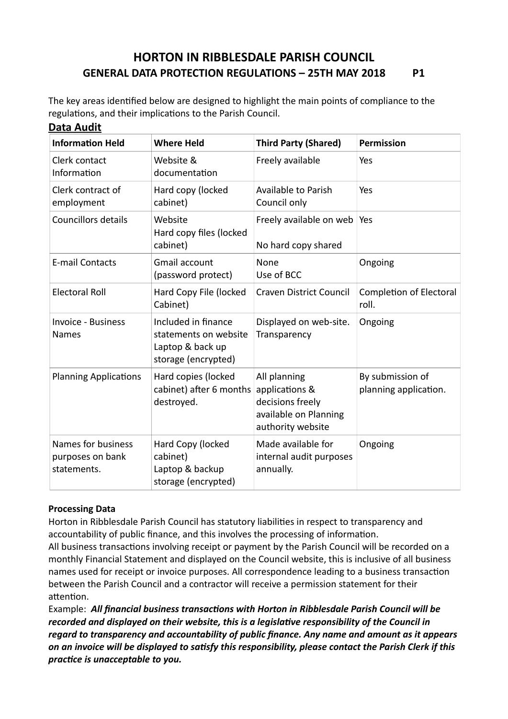# **HORTON IN RIBBLESDALE PARISH COUNCIL GENERAL DATA PROTECTION REGULATIONS – 25TH MAY 2018 P1**

The key areas identified below are designed to highlight the main points of compliance to the regulations, and their implications to the Parish Council. **Data Audit**

| <b>Information Held</b>                               | <b>Where Held</b>                                                                       | <b>Third Party (Shared)</b>                                                                      | Permission                                |
|-------------------------------------------------------|-----------------------------------------------------------------------------------------|--------------------------------------------------------------------------------------------------|-------------------------------------------|
| Clerk contact<br>Information                          | Website &<br>documentation                                                              | Freely available                                                                                 | Yes                                       |
| Clerk contract of<br>employment                       | Hard copy (locked<br>cabinet)                                                           | Available to Parish<br>Council only                                                              | Yes                                       |
| <b>Councillors details</b>                            | Website<br>Hard copy files (locked<br>cabinet)                                          | Freely available on web<br>No hard copy shared                                                   | Yes                                       |
| <b>E-mail Contacts</b>                                | <b>Gmail account</b><br>(password protect)                                              | None<br>Use of BCC                                                                               | Ongoing                                   |
| <b>Electoral Roll</b>                                 | Hard Copy File (locked<br>Cabinet)                                                      | <b>Craven District Council</b>                                                                   | Completion of Electoral<br>roll.          |
| <b>Invoice - Business</b><br><b>Names</b>             | Included in finance<br>statements on website<br>Laptop & back up<br>storage (encrypted) | Displayed on web-site.<br>Transparency                                                           | Ongoing                                   |
| <b>Planning Applications</b>                          | Hard copies (locked<br>cabinet) after 6 months<br>destroyed.                            | All planning<br>applications &<br>decisions freely<br>available on Planning<br>authority website | By submission of<br>planning application. |
| Names for business<br>purposes on bank<br>statements. | Hard Copy (locked<br>cabinet)<br>Laptop & backup<br>storage (encrypted)                 | Made available for<br>internal audit purposes<br>annually.                                       | Ongoing                                   |

#### **Processing Data**

Horton in Ribblesdale Parish Council has statutory liabilities in respect to transparency and accountability of public finance, and this involves the processing of information.

All business transactions involving receipt or payment by the Parish Council will be recorded on a monthly Financial Statement and displayed on the Council website, this is inclusive of all business names used for receipt or invoice purposes. All correspondence leading to a business transaction between the Parish Council and a contractor will receive a permission statement for their attention.

Example: All financial business transactions with Horton in Ribblesdale Parish Council will be *recorded and displayed on their website, this is a legislative responsibility of the Council in* regard to transparency and accountability of public finance. Any name and amount as it appears *in an invoice will be displayed to satisfy this responsibility, please contact the Parish Clerk if this practice is unacceptable to you.*